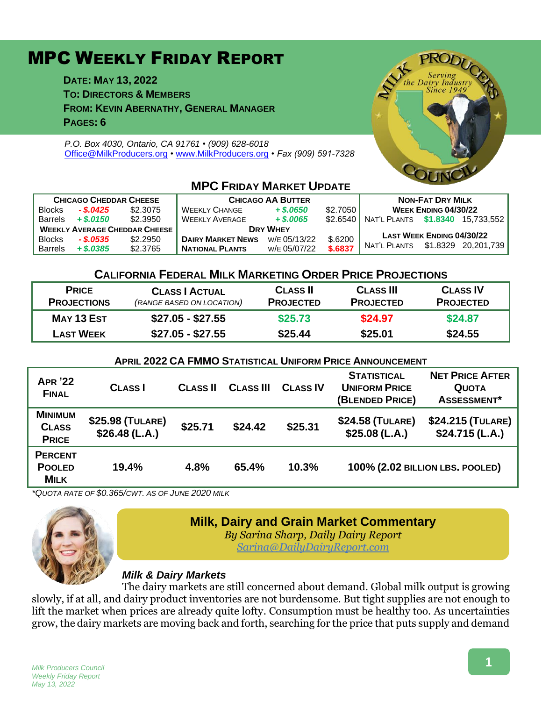# MPC WEEKLY FRIDAY REPORT

**DATE: MAY 13, 2022 TO: DIRECTORS & MEMBERS**

**FROM: KEVIN ABERNATHY, GENERAL MANAGER**

**PAGES: 6**

*P.O. Box 4030, Ontario, CA 91761 • (909) 628-6018* [Office@MilkProducers.org](mailto:office@milkproducers.org) *•* [www.MilkProducers.org](http://www.milkproducers.org/) *• Fax (909) 591-7328*



| <b>CHICAGO CHEDDAR CHEESE</b>        |              |          | <b>CHICAGO AA BUTTER</b> |              |          | <b>NON-FAT DRY MILK</b>                   |  |                     |
|--------------------------------------|--------------|----------|--------------------------|--------------|----------|-------------------------------------------|--|---------------------|
| <b>Blocks</b>                        | $-.$ \$.0425 | \$2.3075 | <b>WEEKLY CHANGE</b>     | $+$ \$.0650  | \$2.7050 | <b>WEEK ENDING 04/30/22</b>               |  |                     |
| <b>Barrels</b>                       | $+$ \$.0150  | \$2,3950 | <b>WEEKLY AVERAGE</b>    | $+$ \$,0065  |          | \$2.6540 NAT'L PLANTS \$1.8340 15.733.552 |  |                     |
| <b>WEEKLY AVERAGE CHEDDAR CHEESE</b> |              |          | <b>DRY WHEY</b>          |              |          | <b>LAST WEEK ENDING 04/30/22</b>          |  |                     |
| <b>Blocks</b>                        | $-.$ \$.0535 | \$2,2950 | <b>DAIRY MARKET NEWS</b> | W/E 05/13/22 | \$.6200  |                                           |  |                     |
| <b>Barrels</b>                       | $+$ \$.0385  | \$2,3765 | <b>NATIONAL PLANTS</b>   | W/E 05/07/22 | \$.6837  | NAT'L PLANTS                              |  | \$1.8329 20.201.739 |

## **MPC FRIDAY MARKET UPDATE**

### **CALIFORNIA FEDERAL MILK MARKETING ORDER PRICE PROJECTIONS**

| <b>PRICE</b><br><b>PROJECTIONS</b> | <b>CLASS   ACTUAL</b><br>(RANGE BASED ON LOCATION) | <b>CLASS II</b><br><b>PROJECTED</b> | <b>CLASS III</b><br><b>PROJECTED</b> | <b>CLASS IV</b><br><b>PROJECTED</b> |
|------------------------------------|----------------------------------------------------|-------------------------------------|--------------------------------------|-------------------------------------|
| MAY 13 EST                         | $$27.05 - $27.55$                                  | \$25.73                             | \$24.97                              | \$24.87                             |
| <b>LAST WEEK</b>                   | \$27.05 - \$27.55                                  | \$25.44                             | \$25.01                              | \$24.55                             |

#### **APRIL 2022 CA FMMO STATISTICAL UNIFORM PRICE ANNOUNCEMENT**

| <b>APR '22</b><br><b>FINAL</b>                 | <b>CLASS</b>                      | <b>CLASS II</b> | <b>CLASS III</b> | <b>CLASS IV</b> | <b>STATISTICAL</b><br><b>UNIFORM PRICE</b><br>(BLENDED PRICE) | <b>NET PRICE AFTER</b><br><b>QUOTA</b><br>ASSESSMENT* |
|------------------------------------------------|-----------------------------------|-----------------|------------------|-----------------|---------------------------------------------------------------|-------------------------------------------------------|
| <b>MINIMUM</b><br><b>CLASS</b><br><b>PRICE</b> | \$25.98 (TULARE)<br>\$26.48(L.A.) | \$25.71         | \$24.42          | \$25.31         | \$24.58 (TULARE)<br>\$25.08(L.A.)                             | \$24.215 (TULARE)<br>\$24.715(L.A.)                   |
| <b>PERCENT</b><br><b>POOLED</b><br><b>MILK</b> | 19.4%                             | 4.8%            | 65.4%            | 10.3%           | 100% (2.02 BILLION LBS. POOLED)                               |                                                       |

*\*QUOTA RATE OF \$0.365/CWT. AS OF JUNE 2020 MILK*



## **Milk, Dairy and Grain Market Commentary**

*By Sarina Sharp, Daily Dairy Report [Sarina@DailyDairyReport.com](mailto:Sarina@DailyDairyReport.com)*

### *Milk & Dairy Markets*

The dairy markets are still concerned about demand. Global milk output is growing slowly, if at all, and dairy product inventories are not burdensome. But tight supplies are not enough to lift the market when prices are already quite lofty. Consumption must be healthy too. As uncertainties grow, the dairy markets are moving back and forth, searching for the price that puts supply and demand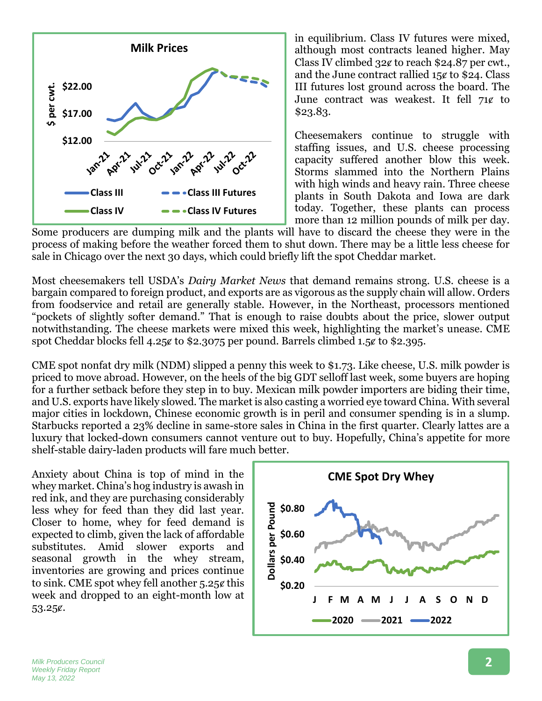

in equilibrium. Class IV futures were mixed, although most contracts leaned higher. May Class IV climbed 32¢ to reach \$24.87 per cwt., and the June contract rallied  $15¢$  to \$24. Class III futures lost ground across the board. The June contract was weakest. It fell  $71¢$  to \$23.83.

Cheesemakers continue to struggle with staffing issues, and U.S. cheese processing capacity suffered another blow this week. Storms slammed into the Northern Plains with high winds and heavy rain. Three cheese plants in South Dakota and Iowa are dark today. Together, these plants can process more than 12 million pounds of milk per day.

Some producers are dumping milk and the plants will have to discard the cheese they were in the process of making before the weather forced them to shut down. There may be a little less cheese for sale in Chicago over the next 30 days, which could briefly lift the spot Cheddar market.

Most cheesemakers tell USDA's *Dairy Market News* that demand remains strong. U.S. cheese is a bargain compared to foreign product, and exports are as vigorous as the supply chain will allow. Orders from foodservice and retail are generally stable. However, in the Northeast, processors mentioned "pockets of slightly softer demand." That is enough to raise doubts about the price, slower output notwithstanding. The cheese markets were mixed this week, highlighting the market's unease. CME spot Cheddar blocks fell 4.25 $\epsilon$  to \$2.3075 per pound. Barrels climbed 1.5 $\epsilon$  to \$2.395.

CME spot nonfat dry milk (NDM) slipped a penny this week to \$1.73. Like cheese, U.S. milk powder is priced to move abroad. However, on the heels of the big GDT selloff last week, some buyers are hoping for a further setback before they step in to buy. Mexican milk powder importers are biding their time, and U.S. exports have likely slowed. The market is also casting a worried eye toward China. With several major cities in lockdown, Chinese economic growth is in peril and consumer spending is in a slump. Starbucks reported a 23% decline in same-store sales in China in the first quarter. Clearly lattes are a luxury that locked-down consumers cannot venture out to buy. Hopefully, China's appetite for more shelf-stable dairy-laden products will fare much better.

Anxiety about China is top of mind in the whey market. China's hog industry is awash in red ink, and they are purchasing considerably less whey for feed than they did last year. Closer to home, whey for feed demand is expected to climb, given the lack of affordable substitutes. Amid slower exports and seasonal growth in the whey stream, inventories are growing and prices continue to sink. CME spot whey fell another  $5.25¢$  this week and dropped to an eight-month low at 53.25¢.

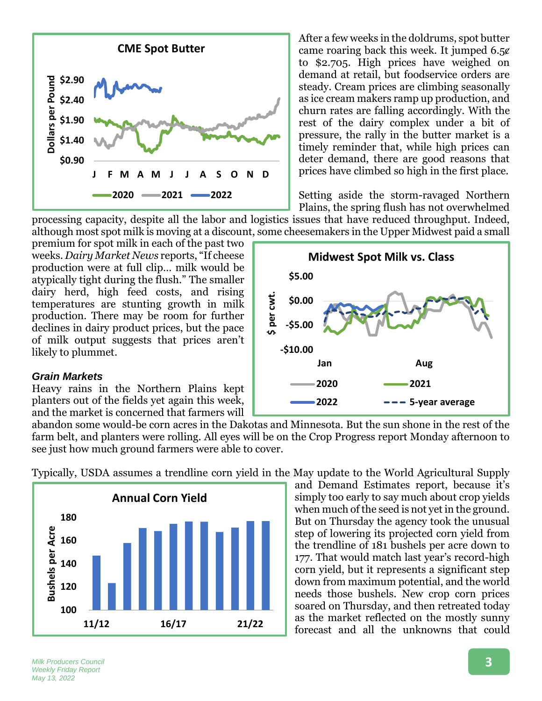

After a few weeks in the doldrums, spot butter came roaring back this week. It jumped 6.5¢ to \$2.705. High prices have weighed on demand at retail, but foodservice orders are steady. Cream prices are climbing seasonally as ice cream makers ramp up production, and churn rates are falling accordingly. With the rest of the dairy complex under a bit of pressure, the rally in the butter market is a timely reminder that, while high prices can deter demand, there are good reasons that prices have climbed so high in the first place.

Setting aside the storm-ravaged Northern Plains, the spring flush has not overwhelmed

**Jan Aug**

**2020 2021**

**2022 5-year average**

**Midwest Spot Milk vs. Class**

processing capacity, despite all the labor and logistics issues that have reduced throughput. Indeed, although most spot milk is moving at a discount, some cheesemakers in the Upper Midwest paid a small

per cwt.

premium for spot milk in each of the past two weeks. *Dairy Market News* reports, "If cheese production were at full clip… milk would be atypically tight during the flush." The smaller dairy herd, high feed costs, and rising temperatures are stunting growth in milk production. There may be room for further declines in dairy product prices, but the pace of milk output suggests that prices aren't likely to plummet.

#### *Grain Markets*

Heavy rains in the Northern Plains kept planters out of the fields yet again this week, and the market is concerned that farmers will

abandon some would-be corn acres in the Dakotas and Minnesota. But the sun shone in the rest of the farm belt, and planters were rolling. All eyes will be on the Crop Progress report Monday afternoon to see just how much ground farmers were able to cover.

**-\$10.00**

**-\$5.00**

**\$0.00**

**\$5.00**

Typically, USDA assumes a trendline corn yield in the May update to the World Agricultural Supply



and Demand Estimates report, because it's simply too early to say much about crop yields when much of the seed is not yet in the ground. But on Thursday the agency took the unusual step of lowering its projected corn yield from the trendline of 181 bushels per acre down to 177. That would match last year's record-high corn yield, but it represents a significant step down from maximum potential, and the world needs those bushels. New crop corn prices soared on Thursday, and then retreated today as the market reflected on the mostly sunny forecast and all the unknowns that could

*Milk Producers Council Weekly Friday Report May 13, 2022*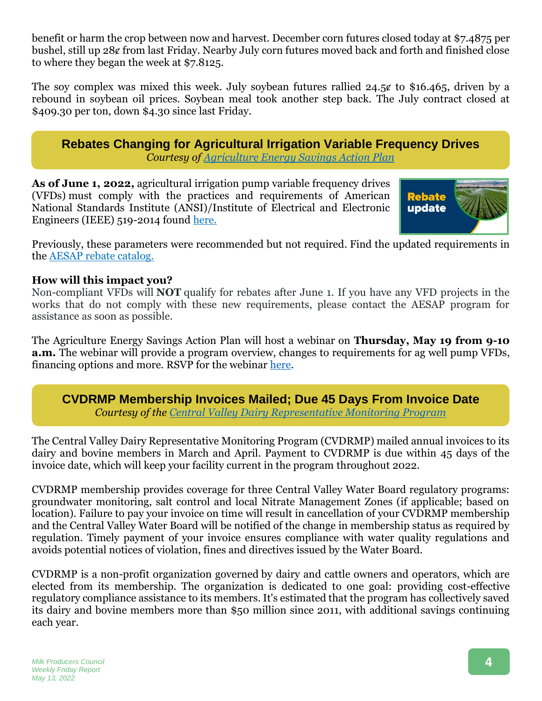benefit or harm the crop between now and harvest. December corn futures closed today at \$7.4875 per bushel, still up 28ȼ from last Friday. Nearby July corn futures moved back and forth and finished close to where they began the week at \$7.8125.

The soy complex was mixed this week. July soybean futures rallied  $24.5\ell$  to \$16.465, driven by a rebound in soybean oil prices. Soybean meal took another step back. The July contract closed at \$409.30 per ton, down \$4.30 since last Friday.

**Rebates Changing for Agricultural Irrigation Variable Frequency Drives** *Courtesy of [Agriculture Energy Savings Action Plan](https://agenergysavings.com/)*

**As of June 1, 2022,** agricultural irrigation pump variable frequency drives (VFDs) must comply with the practices and requirements of American National Standards Institute (ANSI)/Institute of Electrical and Electronic Engineers (IEEE) 519-2014 found [here.](https://r20.rs6.net/tn.jsp?f=001vHTXiPAXjiJbWqAOrOmWq8mGIPke6XdQxPjbzGFlN4DhZZUmKHzgTBsgI2zxLo5znWKroyxSR0vQNP68tBdslgcmu0UGTsOg2xR8XXrBWw46-lsFMW0GyyNgECllx22Sdqb80VKNbC47wzTOffxJh7LQmeitYyWFA5XfQuIAIwHb5doCrMYVvQ==&c=61dCo2tesrvWu-IlQTyCWyV-VyhBr6GMK5dUFBvEmthIpIvyti0G9w==&ch=iWlyBnerdm7Bjy6SUl_jRnFr_5D8Wr0UAbQ_cBCObS7t3yMAHSkQHA==)



Previously, these parameters were recommended but not required. Find the updated requirements in the [AESAP rebate catalog.](https://r20.rs6.net/tn.jsp?f=001vHTXiPAXjiJbWqAOrOmWq8mGIPke6XdQxPjbzGFlN4DhZZUmKHzgTBsgI2zxLo5z9RvDkiZHmA0JRrYcSk-YExBywLCWOimgBjT3ejklKGsoBcE_bOdCDF2pjzTnlJ6WIIeyTtbBWh4Kdb5d1EADBZgqAkA6T9xfMFLC294HcaXpg8jA-5n1WNHVS2I1p-gPa_Z9r81SzcRtg_ChdEOBNu7sI5TJBNgyHpNDLfOKpXLWkSZmsMuDjg==&c=61dCo2tesrvWu-IlQTyCWyV-VyhBr6GMK5dUFBvEmthIpIvyti0G9w==&ch=iWlyBnerdm7Bjy6SUl_jRnFr_5D8Wr0UAbQ_cBCObS7t3yMAHSkQHA==)

## **How will this impact you?**

Non-compliant VFDs will **NOT** qualify for rebates after June 1. If you have any VFD projects in the works that do not comply with these new requirements, please contact the AESAP program for assistance as soon as possible.

The Agriculture Energy Savings Action Plan will host a webinar on **Thursday, May 19 from 9-10 a.m.** The webinar will provide a program overview, changes to requirements for ag well pump VFDs, financing options and more. RSVP for the webinar [here.](https://register.gotowebinar.com/register/8213698627887553806)

**CVDRMP Membership Invoices Mailed; Due 45 Days From Invoice Date** *Courtesy of the [Central Valley Dairy Representative Monitoring Program](http://cvdrmp.org/index.html)*

The Central Valley Dairy Representative Monitoring Program (CVDRMP) mailed annual invoices to its dairy and bovine members in March and April. Payment to CVDRMP is due within 45 days of the invoice date, which will keep your facility current in the program throughout 2022.

CVDRMP membership provides coverage for three Central Valley Water Board regulatory programs: groundwater monitoring, salt control and local Nitrate Management Zones (if applicable; based on location). Failure to pay your invoice on time will result in cancellation of your CVDRMP membership and the Central Valley Water Board will be notified of the change in membership status as required by regulation. Timely payment of your invoice ensures compliance with water quality regulations and avoids potential notices of violation, fines and directives issued by the Water Board.

CVDRMP is a non-profit organization governed by dairy and cattle owners and operators, which are elected from its membership. The organization is dedicated to one goal: providing cost-effective regulatory compliance assistance to its members. It's estimated that the program has collectively saved its dairy and bovine members more than \$50 million since 2011, with additional savings continuing each year.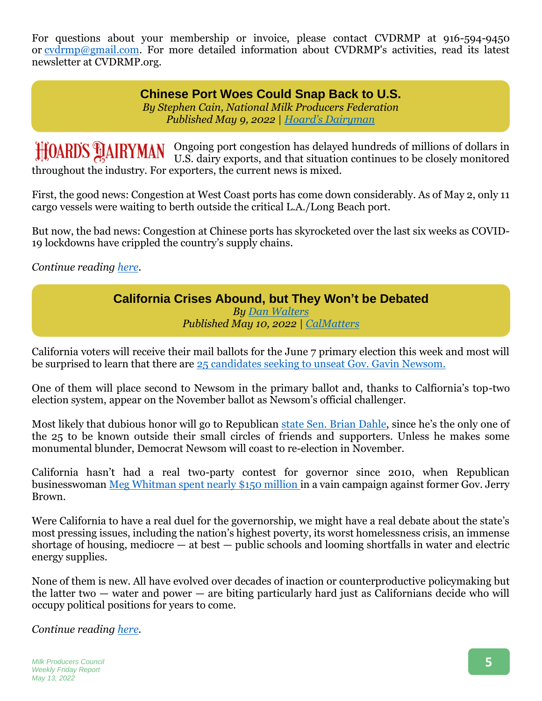For questions about your membership or invoice, please contact CVDRMP at 916-594-9450 or [cvdrmp@gmail.com.](mailto:cvdrmp@gmail.com) For more detailed information about CVDRMP's activities, read its latest newsletter at CVDRMP.org.

### **Chinese Port Woes Could Snap Back to U.S.** *By Stephen Cain, National Milk Producers Federation Published May 9, 2022 | Hoard['s Dairyman](https://hoards.com/article-31917-chinese-port-woes-could-snap-back-to-us.html)*

Ongoing port congestion has delayed hundreds of millions of dollars in U.S. dairy exports, and that situation continues to be closely monitored throughout the industry. For exporters, the current news is mixed.

First, the good news: Congestion at West Coast ports has come down considerably. As of May 2, only 11 cargo vessels were waiting to berth outside the critical L.A./Long Beach port.

But now, the bad news: Congestion at Chinese ports has skyrocketed over the last six weeks as COVID-19 lockdowns have crippled the country's supply chains.

*Continue reading [here.](https://hoards.com/article-31917-chinese-port-woes-could-snap-back-to-us.html)*

### **California Crises Abound, but They Won't be Debated** *By [Dan Walters](mailto:dan@calmatters.org)*

*Published May 10, 2022 | [CalMatters](https://calmatters.org/commentary/2022/05/california-crises-abound-but-they-wont-be-debated/)*

California voters will receive their mail ballots for the June 7 primary election this week and most will be surprised to learn that there are [25 candidates seeking to unseat Gov. Gavin Newsom.](https://calmatters.org/california-voter-guide-2022/governor/)

One of them will place second to Newsom in the primary ballot and, thanks to Calfiornia's top-two election system, appear on the November ballot as Newsom's official challenger.

Most likely that dubious honor will go to Republican [state Sen. Brian Dahle](https://calmatters.org/california-voter-guide-2022/governor/brian-dahle/), since he's the only one of the 25 to be known outside their small circles of friends and supporters. Unless he makes some monumental blunder, Democrat Newsom will coast to re-election in November.

California hasn't had a real two-party contest for governor since 2010, when Republican businesswoman [Meg Whitman spent nearly \\$150 million](https://en.wikipedia.org/wiki/Meg_Whitman) in a vain campaign against former Gov. Jerry Brown.

Were California to have a real duel for the governorship, we might have a real debate about the state's most pressing issues, including the nation's highest poverty, its worst homelessness crisis, an immense shortage of housing, mediocre  $-$  at best  $-$  public schools and looming shortfalls in water and electric energy supplies.

None of them is new. All have evolved over decades of inaction or counterproductive policymaking but the latter two  $-$  water and power  $-$  are biting particularly hard just as Californians decide who will occupy political positions for years to come.

*Continue reading [here.](https://calmatters.org/commentary/2022/05/california-crises-abound-but-they-wont-be-debated/)*